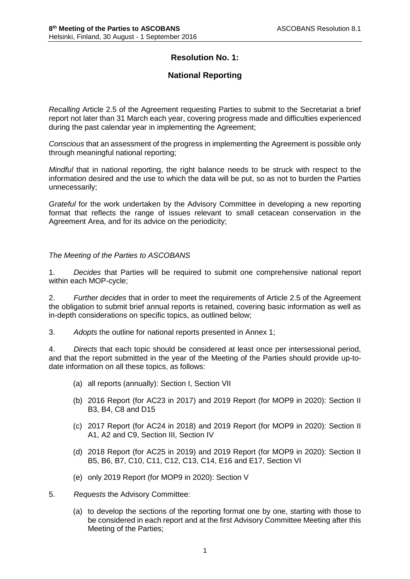# **Resolution No. 1:**

# **National Reporting**

*Recalling* Article 2.5 of the Agreement requesting Parties to submit to the Secretariat a brief report not later than 31 March each year, covering progress made and difficulties experienced during the past calendar year in implementing the Agreement;

*Conscious* that an assessment of the progress in implementing the Agreement is possible only through meaningful national reporting;

*Mindful* that in national reporting, the right balance needs to be struck with respect to the information desired and the use to which the data will be put, so as not to burden the Parties unnecessarily;

*Grateful* for the work undertaken by the Advisory Committee in developing a new reporting format that reflects the range of issues relevant to small cetacean conservation in the Agreement Area, and for its advice on the periodicity;

# *The Meeting of the Parties to ASCOBANS*

1. *Decides* that Parties will be required to submit one comprehensive national report within each MOP-cycle;

2. *Further decides* that in order to meet the requirements of Article 2.5 of the Agreement the obligation to submit brief annual reports is retained, covering basic information as well as in-depth considerations on specific topics, as outlined below;

3. *Adopts* the outline for national reports presented in Annex 1;

4. *Directs* that each topic should be considered at least once per intersessional period, and that the report submitted in the year of the Meeting of the Parties should provide up-todate information on all these topics, as follows:

- (a) all reports (annually): Section I, Section VII
- (b) 2016 Report (for AC23 in 2017) and 2019 Report (for MOP9 in 2020): Section II B3, B4, C8 and D15
- (c) 2017 Report (for AC24 in 2018) and 2019 Report (for MOP9 in 2020): Section II A1, A2 and C9, Section III, Section IV
- (d) 2018 Report (for AC25 in 2019) and 2019 Report (for MOP9 in 2020): Section II B5, B6, B7, C10, C11, C12, C13, C14, E16 and E17, Section VI
- (e) only 2019 Report (for MOP9 in 2020): Section V
- 5. *Requests* the Advisory Committee:
	- (a) to develop the sections of the reporting format one by one, starting with those to be considered in each report and at the first Advisory Committee Meeting after this Meeting of the Parties;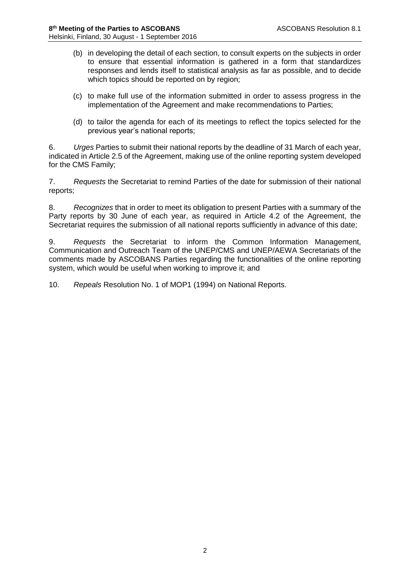- (b) in developing the detail of each section, to consult experts on the subjects in order to ensure that essential information is gathered in a form that standardizes responses and lends itself to statistical analysis as far as possible, and to decide which topics should be reported on by region;
- (c) to make full use of the information submitted in order to assess progress in the implementation of the Agreement and make recommendations to Parties;
- (d) to tailor the agenda for each of its meetings to reflect the topics selected for the previous year's national reports;

6. *Urges* Parties to submit their national reports by the deadline of 31 March of each year, indicated in Article 2.5 of the Agreement, making use of the online reporting system developed for the CMS Family;

7. *Requests* the Secretariat to remind Parties of the date for submission of their national reports;

8. *Recognizes* that in order to meet its obligation to present Parties with a summary of the Party reports by 30 June of each year, as required in Article 4.2 of the Agreement, the Secretariat requires the submission of all national reports sufficiently in advance of this date;

9. *Requests* the Secretariat to inform the Common Information Management, Communication and Outreach Team of the UNEP/CMS and UNEP/AEWA Secretariats of the comments made by ASCOBANS Parties regarding the functionalities of the online reporting system, which would be useful when working to improve it; and

10. *Repeals* Resolution No. 1 of MOP1 (1994) on National Reports.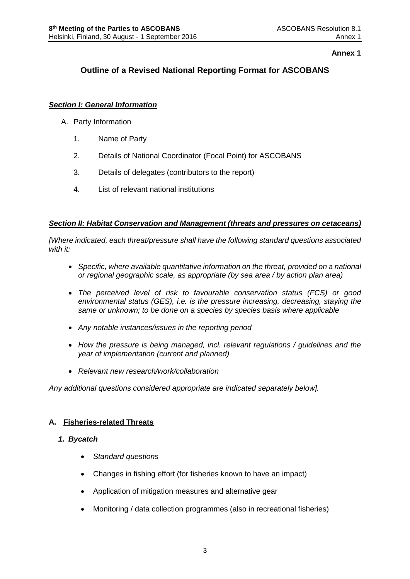# **Annex 1**

# **Outline of a Revised National Reporting Format for ASCOBANS**

# *Section I: General Information*

- A. Party Information
	- 1. Name of Party
	- 2. Details of National Coordinator (Focal Point) for ASCOBANS
	- 3. Details of delegates (contributors to the report)
	- 4. List of relevant national institutions

# *Section II: Habitat Conservation and Management (threats and pressures on cetaceans)*

*[Where indicated, each threat/pressure shall have the following standard questions associated with it:*

- *Specific, where available quantitative information on the threat, provided on a national or regional geographic scale, as appropriate (by sea area / by action plan area)*
- *The perceived level of risk to favourable conservation status (FCS) or good environmental status (GES), i.e. is the pressure increasing, decreasing, staying the same or unknown; to be done on a species by species basis where applicable*
- *Any notable instances/issues in the reporting period*
- *How the pressure is being managed, incl. relevant regulations / guidelines and the year of implementation (current and planned)*
- *Relevant new research/work/collaboration*

*Any additional questions considered appropriate are indicated separately below].*

# **A. Fisheries-related Threats**

# *1. Bycatch*

- *Standard questions*
- Changes in fishing effort (for fisheries known to have an impact)
- Application of mitigation measures and alternative gear
- Monitoring / data collection programmes (also in recreational fisheries)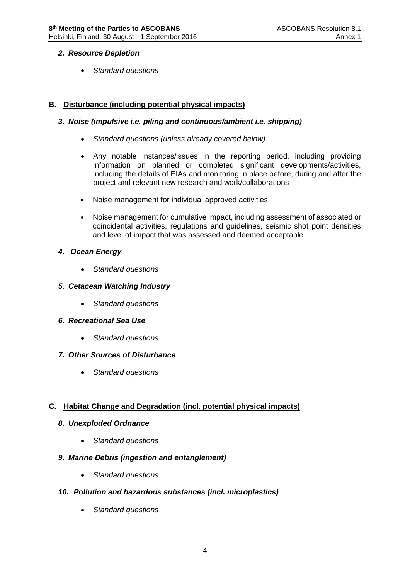# *2. Resource Depletion*

*Standard questions* 

# **B. Disturbance (including potential physical impacts)**

# *3. Noise (impulsive i.e. piling and continuous/ambient i.e. shipping)*

- *Standard questions (unless already covered below)*
- Any notable instances/issues in the reporting period, including providing information on planned or completed significant developments/activities, including the details of EIAs and monitoring in place before, during and after the project and relevant new research and work/collaborations
- Noise management for individual approved activities
- Noise management for cumulative impact, including assessment of associated or coincidental activities, regulations and guidelines, seismic shot point densities and level of impact that was assessed and deemed acceptable

# *4. Ocean Energy*

*Standard questions* 

# *5. Cetacean Watching Industry*

- *Standard questions*
- *6. Recreational Sea Use*
	- *Standard questions*

# *7. Other Sources of Disturbance*

*Standard questions* 

# **C. Habitat Change and Degradation (incl. potential physical impacts)**

# *8. Unexploded Ordnance*

*Standard questions* 

# *9. Marine Debris (ingestion and entanglement)*

*Standard questions* 

# *10. Pollution and hazardous substances (incl. microplastics)*

*Standard questions*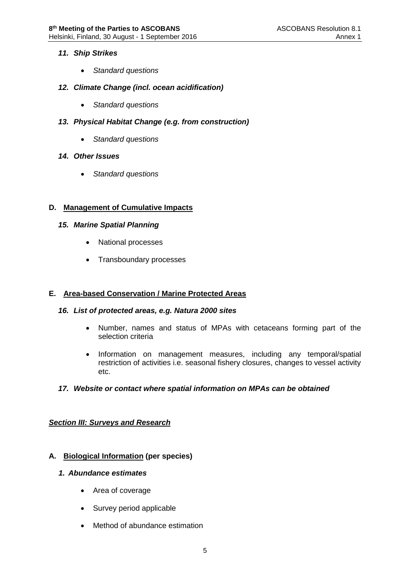# *11. Ship Strikes*

*Standard questions* 

# *12. Climate Change (incl. ocean acidification)*

- *Standard questions*
- *13. Physical Habitat Change (e.g. from construction)*
	- *Standard questions*
- *14. Other Issues*
	- *Standard questions*

# **D. Management of Cumulative Impacts**

- *15. Marine Spatial Planning*
	- National processes
	- Transboundary processes

# **E. Area-based Conservation / Marine Protected Areas**

# *16. List of protected areas, e.g. Natura 2000 sites*

- Number, names and status of MPAs with cetaceans forming part of the selection criteria
- Information on management measures, including any temporal/spatial restriction of activities i.e. seasonal fishery closures, changes to vessel activity etc.

# *17. Website or contact where spatial information on MPAs can be obtained*

# *Section III: Surveys and Research*

# **A. Biological Information (per species)**

# *1. Abundance estimates*

- Area of coverage
- Survey period applicable
- Method of abundance estimation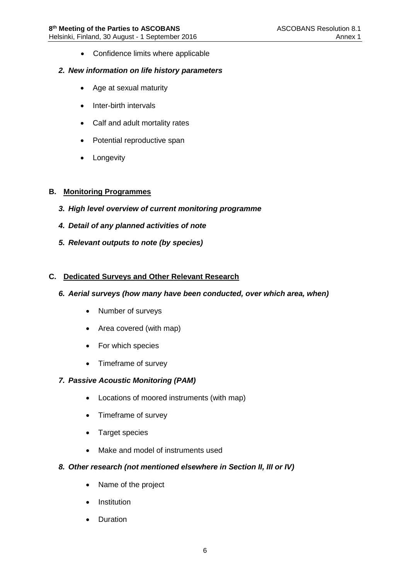• Confidence limits where applicable

#### *2. New information on life history parameters*

- Age at sexual maturity
- Inter-birth intervals
- Calf and adult mortality rates
- Potential reproductive span
- Longevity

#### **B. Monitoring Programmes**

- *3. High level overview of current monitoring programme*
- *4. Detail of any planned activities of note*
- *5. Relevant outputs to note (by species)*

# **C. Dedicated Surveys and Other Relevant Research**

#### *6. Aerial surveys (how many have been conducted, over which area, when)*

- Number of surveys
- Area covered (with map)
- For which species
- Timeframe of survey

# *7. Passive Acoustic Monitoring (PAM)*

- Locations of moored instruments (with map)
- Timeframe of survey
- Target species
- Make and model of instruments used

# *8. Other research (not mentioned elsewhere in Section II, III or IV)*

- Name of the project
- **•** Institution
- Duration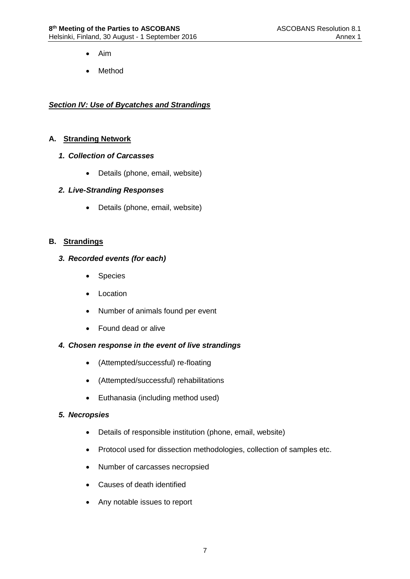- Aim
- Method

# *Section IV: Use of Bycatches and Strandings*

# **A. Stranding Network**

# *1. Collection of Carcasses*

Details (phone, email, website)

# *2. Live-Stranding Responses*

Details (phone, email, website)

# **B. Strandings**

# *3. Recorded events (for each)*

- Species
- Location
- Number of animals found per event
- Found dead or alive

# *4. Chosen response in the event of live strandings*

- (Attempted/successful) re-floating
- (Attempted/successful) rehabilitations
- Euthanasia (including method used)

# *5. Necropsies*

- Details of responsible institution (phone, email, website)
- Protocol used for dissection methodologies, collection of samples etc.
- Number of carcasses necropsied
- Causes of death identified
- Any notable issues to report